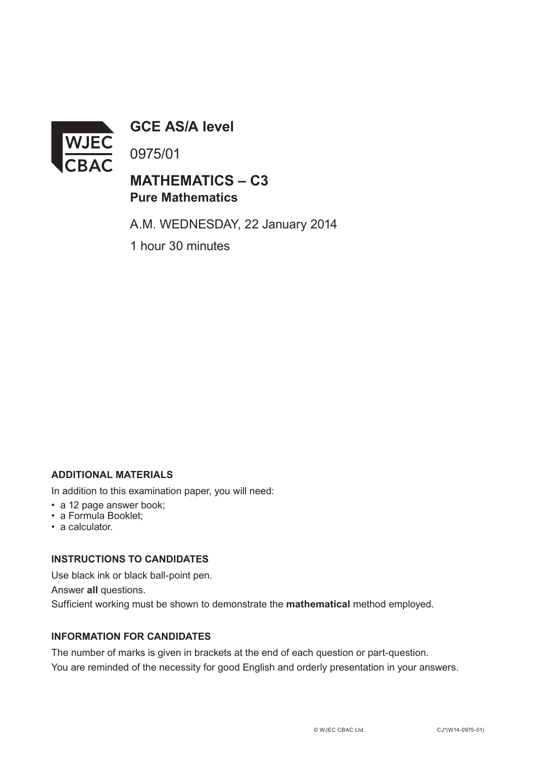

**GCE AS/A level**

0975/01

## **MATHEMATICS – C3 Pure Mathematics**

A.M. WEDNESDAY, 22 January 2014

1 hour 30 minutes

#### **ADDITIONAL MATERIALS**

In addition to this examination paper, you will need:

- a 12 page answer book;
- a Formula Booklet;
- a calculator.

#### **INSTRUCTIONS TO CANDIDATES**

Use black ink or black ball-point pen.

Answer **all** questions.

Sufficient working must be shown to demonstrate the **mathematical** method employed.

### **INFORMATION FOR CANDIDATES**

The number of marks is given in brackets at the end of each question or part-question. You are reminded of the necessity for good English and orderly presentation in your answers.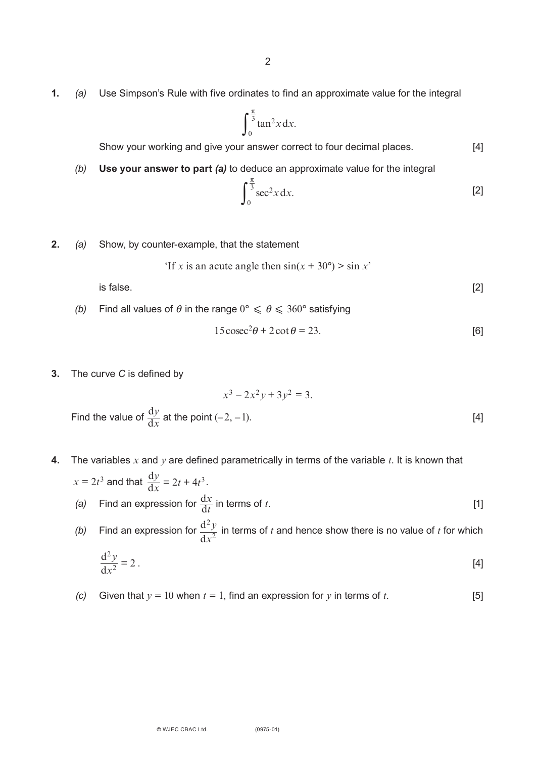**1.** *(a)* Use Simpson's Rule with five ordinates to find an approximate value for the integral

$$
\int_0^{\frac{\pi}{3}} \tan^2 x \, dx.
$$

Show your working and give your answer correct to four decimal places. [4]

*(b)* **Use your answer to part** *(a)* to deduce an approximate value for the integral

$$
\int_0^{\frac{\pi}{3}} \sec^2 x \, dx.
$$
 [2]

**2.** *(a)* Show, by counter-example, that the statement

'If x is an acute angle then 
$$
sin(x + 30^{\circ}) > sin x
$$
'

is false.  $[2]$ 

*(b)* Find all values of  $\theta$  in the range  $0^{\circ} \le \theta \le 360^{\circ}$  satisfying

$$
15\csc^2\theta + 2\cot\theta = 23.
$$
 [6]

**3.** The curve *C* is defined by

$$
x^3 - 2x^2y + 3y^2 = 3.
$$

Find the value of  $\frac{dy}{dx}$  at the point  $(-2, -1)$ . [4] d *y x*

- **4.** The variables *x* and *y* are defined parametrically in terms of the variable *t*. It is known that  $x = 2t^3$  and that  $\frac{dy}{dx} = 2t + 4t^3$ . *y*  $\frac{y}{x} = 2t + 4t^3$ 
	- *(a)* Find an expression for  $\frac{dx}{dt}$  in terms of *t*. [1] d *x t*
	- (b) Find an expression for  $\frac{d^2y}{dx^2}$  in terms of *t* and hence show there is no value of *t* for which d 2 2 *y x*

$$
\frac{\mathrm{d}^2 y}{\mathrm{d}x^2} = 2 \tag{4}
$$

*(c)* Given that  $y = 10$  when  $t = 1$ , find an expression for *y* in terms of *t*. [5]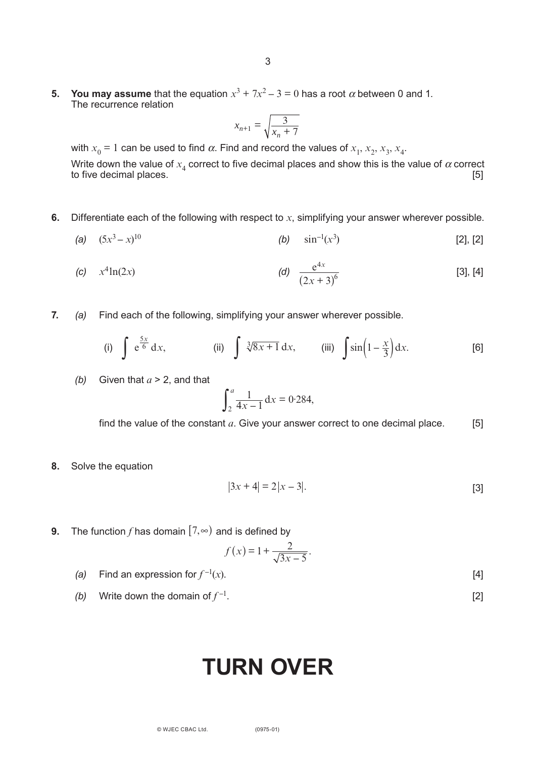**5. You may assume** that the equation  $x^3 + 7x^2 - 3 = 0$  has a root  $\alpha$  between 0 and 1. The recurrence relation

$$
x_{n+1} = \sqrt{\frac{3}{x_n + 7}}
$$

with  $x_0$  = 1 can be used to find  $\alpha$ . Find and record the values of  $x_1, x_2, x_3, x_4$ .

Write down the value of  $x_4$  correct to five decimal places and show this is the value of  $\alpha$  correct to five decimal places. to five decimal places.

- **6.** Differentiate each of the following with respect to *x*, simplifying your answer wherever possible.
	- (a)  $(5x^3 x)^{10}$ 10 **(b)**  $\sin^{-1}(x^3)$  $[2]$ ,  $[2]$

(c) 
$$
x^4 \ln(2x)
$$
 (d)  $\frac{e^{4x}}{(2x+3)^6}$  [3], [4]

**7.** *(a)* Find each of the following, simplifying your answer wherever possible.

*f x*

(i) 
$$
\int e^{\frac{5x}{6}} dx
$$
, (ii)  $\int \sqrt[3]{8x+1} dx$ , (iii)  $\int \sin\left(1-\frac{x}{3}\right) dx$ . [6]

(b) Given that 
$$
a > 2
$$
, and that

$$
\int_2^a \frac{1}{4x - 1} \, \mathrm{d}x = 0.284,
$$

find the value of the constant  $a$ . Give your answer correct to one decimal place.  $[5]$ 

**8.** Solve the equation

$$
|3x + 4| = 2|x - 3|.
$$
 [3]

**9.** The function *f* has domain  $[7,∞)$  and is defined by

$$
(x) = 1 + \frac{2}{\sqrt{3x - 5}}.
$$

- *(a)* Find an expression for  $f^{-1}(x)$ . (*x*). [4]
- *(b)* Write down the domain of  $f^{-1}$ . . [2]

# **Turn over**